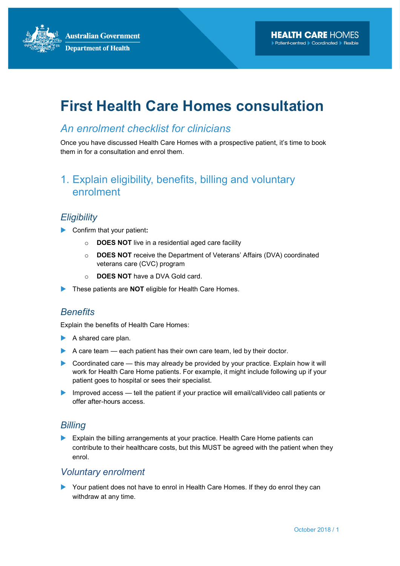**Australian Government Department of Health** 

# First Health Care Homes consultation

### An enrolment checklist for clinicians

Once you have discussed Health Care Homes with a prospective patient, it's time to book them in for a consultation and enrol them.

## 1. Explain eligibility, benefits, billing and voluntary enrolment

#### **Eligibility**

- Confirm that your patient:
	- o DOES NOT live in a residential aged care facility
	- o DOES NOT receive the Department of Veterans' Affairs (DVA) coordinated veterans care (CVC) program
	- o DOES NOT have a DVA Gold card.
- These patients are **NOT** eligible for Health Care Homes.

#### **Benefits**

Explain the benefits of Health Care Homes:

- $\blacktriangleright$  A shared care plan.
- A care team  $-$  each patient has their own care team, led by their doctor.
- $\triangleright$  Coordinated care this may already be provided by your practice. Explain how it will work for Health Care Home patients. For example, it might include following up if your patient goes to hospital or sees their specialist.
- Improved access tell the patient if your practice will email/call/video call patients or offer after-hours access.

#### **Billing**

Explain the billing arrangements at your practice. Health Care Home patients can contribute to their healthcare costs, but this MUST be agreed with the patient when they enrol.

#### Voluntary enrolment

Your patient does not have to enrol in Health Care Homes. If they do enrol they can withdraw at any time.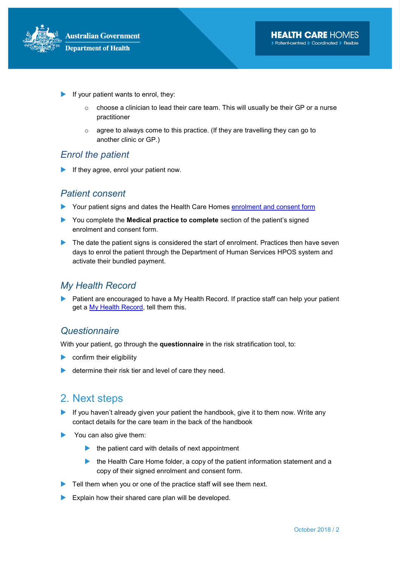

- If your patient wants to enrol, they:
	- $\circ$  choose a clinician to lead their care team. This will usually be their GP or a nurse practitioner
	- o agree to always come to this practice. (If they are travelling they can go to another clinic or GP.)

#### Enrol the patient

If they agree, enrol your patient now.

#### Patient consent

- Your patient signs and dates the Health Care Homes enrolment and consent form
- You complete the **Medical practice to complete** section of the patient's signed enrolment and consent form.
- The date the patient signs is considered the start of enrolment. Practices then have seven days to enrol the patient through the Department of Human Services HPOS system and activate their bundled payment.

#### My Health Record

Patient are encouraged to have a My Health Record. If practice staff can help your patient get a My Health Record, tell them this.

#### **Questionnaire**

With your patient, go through the questionnaire in the risk stratification tool, to:

- $\triangleright$  confirm their eligibility
- determine their risk tier and level of care they need.

## 2. Next steps

- If you haven't already given your patient the handbook, give it to them now. Write any contact details for the care team in the back of the handbook
- You can also give them:
	- $\blacktriangleright$  the patient card with details of next appointment
	- $\blacktriangleright$  the Health Care Home folder, a copy of the patient information statement and a copy of their signed enrolment and consent form.
- $\blacktriangleright$  Tell them when you or one of the practice staff will see them next.
- Explain how their shared care plan will be developed.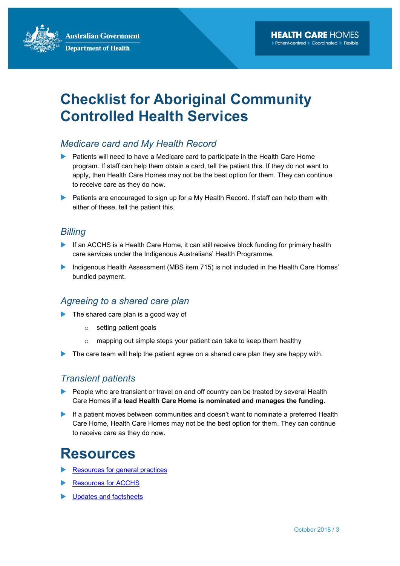**Australian Government Department of Health** 

# Checklist for Aboriginal Community Controlled Health Services

#### Medicare card and My Health Record

- Patients will need to have a Medicare card to participate in the Health Care Home program. If staff can help them obtain a card, tell the patient this. If they do not want to apply, then Health Care Homes may not be the best option for them. They can continue to receive care as they do now.
- ▶ Patients are encouraged to sign up for a My Health Record. If staff can help them with either of these, tell the patient this.

#### **Billing**

- If an ACCHS is a Health Care Home, it can still receive block funding for primary health care services under the Indigenous Australians' Health Programme.
- Indigenous Health Assessment (MBS item 715) is not included in the Health Care Homes' bundled payment.

#### Agreeing to a shared care plan

- The shared care plan is a good way of
	- o setting patient goals
	- o mapping out simple steps your patient can take to keep them healthy
- The care team will help the patient agree on a shared care plan they are happy with.

#### Transient patients

- People who are transient or travel on and off country can be treated by several Health Care Homes if a lead Health Care Home is nominated and manages the funding.
- If a patient moves between communities and doesn't want to nominate a preferred Health Care Home, Health Care Homes may not be the best option for them. They can continue to receive care as they do now.

# Resources

- Resources for general practices
- Resources for ACCHS
- **Updates and factsheets**